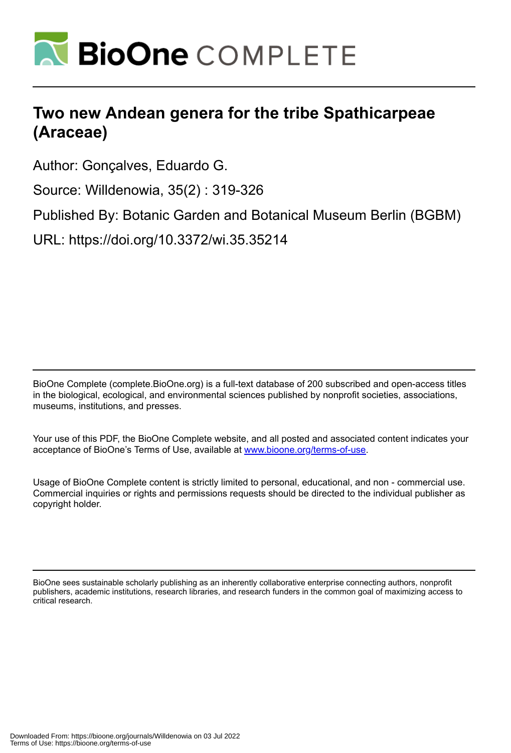

# **Two new Andean genera for the tribe Spathicarpeae (Araceae)**

Author: Gonçalves, Eduardo G.

Source: Willdenowia, 35(2) : 319-326

Published By: Botanic Garden and Botanical Museum Berlin (BGBM)

URL: https://doi.org/10.3372/wi.35.35214

BioOne Complete (complete.BioOne.org) is a full-text database of 200 subscribed and open-access titles in the biological, ecological, and environmental sciences published by nonprofit societies, associations, museums, institutions, and presses.

Your use of this PDF, the BioOne Complete website, and all posted and associated content indicates your acceptance of BioOne's Terms of Use, available at www.bioone.org/terms-of-use.

Usage of BioOne Complete content is strictly limited to personal, educational, and non - commercial use. Commercial inquiries or rights and permissions requests should be directed to the individual publisher as copyright holder.

BioOne sees sustainable scholarly publishing as an inherently collaborative enterprise connecting authors, nonprofit publishers, academic institutions, research libraries, and research funders in the common goal of maximizing access to critical research.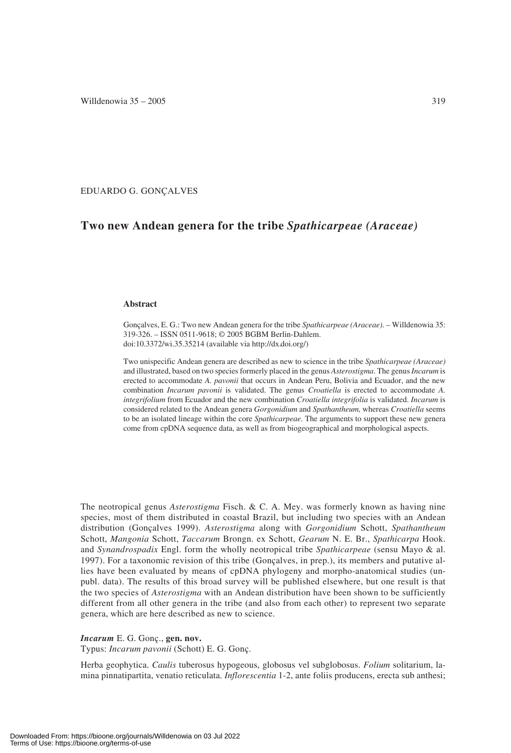EDUARDO G. GONÇALVES

# **Two new Andean genera for the tribe** *Spathicarpeae (Araceae)*

# **Abstract**

Gonçalves, E. G.: Two new Andean genera for the tribe *Spathicarpeae (Araceae)*. – Willdenowia 35: 319-326. – ISSN 0511-9618; © 2005 BGBM Berlin-Dahlem. doi:10.3372/wi.35.35214 (available via http://dx.doi.org/)

Two unispecific Andean genera are described as new to science in the tribe *Spathicarpeae (Araceae)* and illustrated, based on two species formerly placed in the genus *Asterostigma*. The genus*Incarum* is erected to accommodate *A. pavonii* that occurs in Andean Peru, Bolivia and Ecuador, and the new combination *Incarum pavonii* is validated. The genus *Croatiella* is erected to accommodate *A. integrifolium* from Ecuador and the new combination *Croatiella integrifolia* is validated. *Incarum* is considered related to the Andean genera *Gorgonidium* and *Spathantheum,* whereas *Croatiella* seems

to be an isolated lineage within the core *Spathicarpeae*. The arguments to support these new genera come from cpDNA sequence data, as well as from biogeographical and morphological aspects.

The neotropical genus *Asterostigma* Fisch. & C. A. Mey. was formerly known as having nine species, most of them distributed in coastal Brazil, but including two species with an Andean distribution (Gonçalves 1999). *Asterostigma* along with *Gorgonidium* Schott, *Spathantheum* Schott, *Mangonia* Schott, *Taccarum* Brongn. ex Schott, *Gearum* N. E. Br., *Spathicarpa* Hook. and *Synandrospadix* Engl. form the wholly neotropical tribe *Spathicarpeae* (sensu Mayo & al. 1997). For a taxonomic revision of this tribe (Gonçalves, in prep.), its members and putative allies have been evaluated by means of cpDNA phylogeny and morpho-anatomical studies (unpubl. data). The results of this broad survey will be published elsewhere, but one result is that the two species of *Asterostigma* with an Andean distribution have been shown to be sufficiently different from all other genera in the tribe (and also from each other) to represent two separate genera, which are here described as new to science.

#### *Incarum* E. G. Gonç., **gen. nov.**

Typus: *Incarum pavonii* (Schott) E. G. Gonç.

Herba geophytica. *Caulis* tuberosus hypogeous, globosus vel subglobosus. *Folium* solitarium, lamina pinnatipartita, venatio reticulata. *Inflorescentia* 1-2, ante foliis producens, erecta sub anthesi;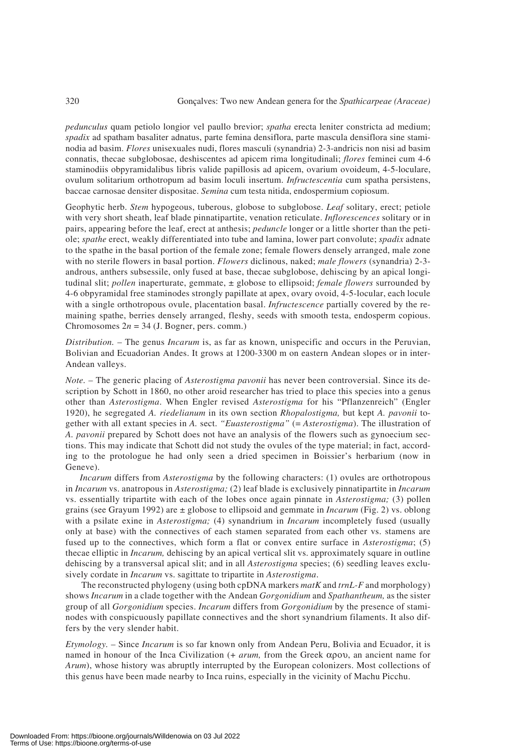*pedunculus* quam petiolo longior vel paullo brevior; *spatha* erecta leniter constricta ad medium; *spadix* ad spatham basaliter adnatus, parte femina densiflora, parte mascula densiflora sine staminodia ad basim. *Flores* unisexuales nudi, flores masculi (synandria) 2-3-andricis non nisi ad basim connatis, thecae subglobosae, deshiscentes ad apicem rima longitudinali; *flores* feminei cum 4-6 staminodiis obpyramidalibus libris valide papillosis ad apicem, ovarium ovoideum, 4-5-loculare, ovulum solitarium orthotropum ad basim loculi insertum. *Infructescentia* cum spatha persistens, baccae carnosae densiter dispositae. *Semina* cum testa nitida, endospermium copiosum.

Geophytic herb. *Stem* hypogeous, tuberous, globose to subglobose. *Leaf* solitary, erect; petiole with very short sheath, leaf blade pinnatipartite, venation reticulate. *Inflorescences* solitary or in pairs, appearing before the leaf, erect at anthesis; *peduncle* longer or a little shorter than the petiole; *spathe* erect, weakly differentiated into tube and lamina, lower part convolute; *spadix* adnate to the spathe in the basal portion of the female zone; female flowers densely arranged, male zone with no sterile flowers in basal portion. *Flowers* diclinous, naked; *male flowers* (synandria) 2-3 androus, anthers subsessile, only fused at base, thecae subglobose, dehiscing by an apical longitudinal slit; *pollen* inaperturate, gemmate, ± globose to ellipsoid; *female flowers* surrounded by 4-6 obpyramidal free staminodes strongly papillate at apex, ovary ovoid, 4-5-locular, each locule with a single orthotropous ovule, placentation basal. *Infructescence* partially covered by the remaining spathe, berries densely arranged, fleshy, seeds with smooth testa, endosperm copious. Chromosomes  $2n = 34$  (J. Bogner, pers. comm.)

*Distribution.* – The genus *Incarum* is, as far as known, unispecific and occurs in the Peruvian, Bolivian and Ecuadorian Andes. It grows at 1200-3300 m on eastern Andean slopes or in inter-Andean valleys.

*Note.* – The generic placing of *Asterostigma pavonii* has never been controversial. Since its description by Schott in 1860, no other aroid researcher has tried to place this species into a genus other than *Asterostigma*. When Engler revised *Asterostigma* for his "Pflanzenreich" (Engler 1920), he segregated *A. riedelianum* in its own section *Rhopalostigma,* but kept *A. pavonii* together with all extant species in *A.* sect. *"Euasterostigma"* (= *Asterostigma*). The illustration of *A. pavonii* prepared by Schott does not have an analysis of the flowers such as gynoecium sections. This may indicate that Schott did not study the ovules of the type material; in fact, according to the protologue he had only seen a dried specimen in Boissier's herbarium (now in Geneve).

*Incarum* differs from *Asterostigma* by the following characters: (1) ovules are orthotropous in *Incarum* vs. anatropous in *Asterostigma;* (2) leaf blade is exclusively pinnatipartite in *Incarum* vs. essentially tripartite with each of the lobes once again pinnate in *Asterostigma;* (3) pollen grains (see Grayum 1992) are ± globose to ellipsoid and gemmate in *Incarum* (Fig. 2) vs. oblong with a psilate exine in *Asterostigma*; (4) synandrium in *Incarum* incompletely fused (usually only at base) with the connectives of each stamen separated from each other vs. stamens are fused up to the connectives, which form a flat or convex entire surface in *Asterostigma*; (5) thecae elliptic in *Incarum,* dehiscing by an apical vertical slit vs. approximately square in outline dehiscing by a transversal apical slit; and in all *Asterostigma* species; (6) seedling leaves exclusively cordate in *Incarum* vs. sagittate to tripartite in *Asterostigma*.

The reconstructed phylogeny (using both cpDNA markers *matK* and *trnL-F* and morphology) shows *Incarum* in a clade together with the Andean *Gorgonidium* and *Spathantheum,* as the sister group of all *Gorgonidium* species. *Incarum* differs from *Gorgonidium* by the presence of staminodes with conspicuously papillate connectives and the short synandrium filaments. It also differs by the very slender habit.

*Etymology.* – Since *Incarum* is so far known only from Andean Peru, Bolivia and Ecuador, it is named in honour of the Inca Civilization (+ *arum,* from the Greek αρου, an ancient name for *Arum*), whose history was abruptly interrupted by the European colonizers. Most collections of this genus have been made nearby to Inca ruins, especially in the vicinity of Machu Picchu.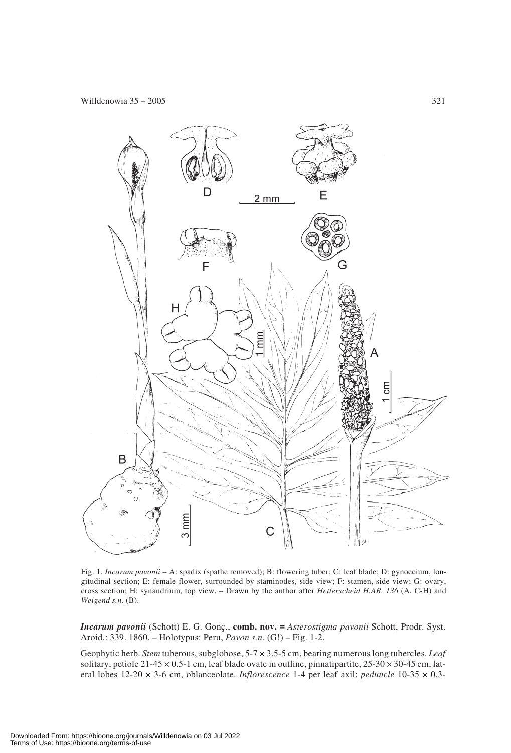

Fig. 1. *Incarum pavonii –* A: spadix (spathe removed); B: flowering tuber; C: leaf blade; D: gynoecium, longitudinal section; E: female flower, surrounded by staminodes, side view; F: stamen, side view; G: ovary, cross section; H: synandrium, top view. – Drawn by the author after *Hetterscheid H.AR. 136* (A, C-H) and *Weigend s.n.* (B).

*Incarum pavonii* (Schott) E. G. Gonç., **comb. nov.** ≡ *Asterostigma pavonii* Schott, Prodr. Syst. Aroid.: 339. 1860. – Holotypus: Peru, *Pavon s.n.* (G!) – Fig. 1-2.

Geophytic herb. *Stem* tuberous, subglobose, 5-7 × 3.5-5 cm, bearing numerous long tubercles. *Leaf* solitary, petiole 21-45  $\times$  0.5-1 cm, leaf blade ovate in outline, pinnatipartite, 25-30  $\times$  30-45 cm, lateral lobes 12-20 × 3-6 cm, oblanceolate. *Inflorescence* 1-4 per leaf axil; *peduncle* 10-35 × 0.3-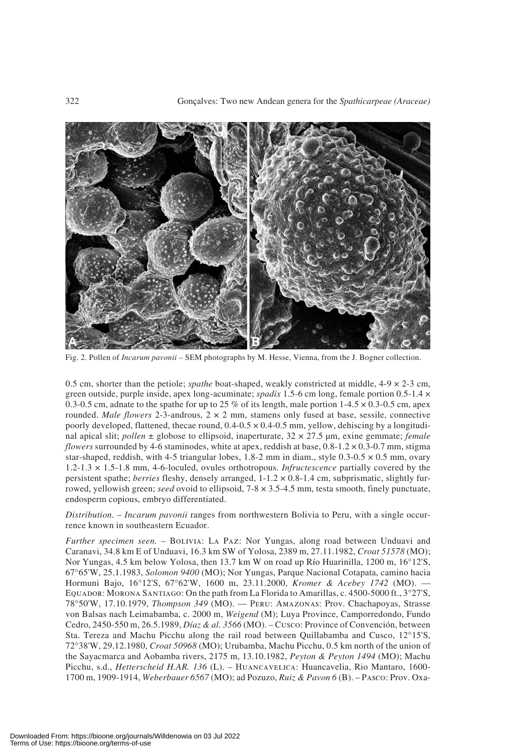

Fig. 2. Pollen of *Incarum pavonii –* SEM photographs by M. Hesse, Vienna, from the J. Bogner collection.

0.5 cm, shorter than the petiole; *spathe* boat-shaped, weakly constricted at middle, 4-9 × 2-3 cm, green outside, purple inside, apex long-acuminate; *spadix* 1.5-6 cm long, female portion 0.5-1.4 × 0.3-0.5 cm, adnate to the spathe for up to 25 % of its length, male portion 1-4.5  $\times$  0.3-0.5 cm, apex rounded. *Male flowers* 2-3-androus, 2 × 2 mm, stamens only fused at base, sessile, connective poorly developed, flattened, thecae round,  $0.4$ - $0.5 \times 0.4$ - $0.5$  mm, yellow, dehiscing by a longitudinal apical slit; *pollen* ± globose to ellipsoid, inaperturate, 32 × 27.5 μm, exine gemmate; *female flowers* surrounded by 4-6 staminodes, white at apex, reddish at base,  $0.8-1.2 \times 0.3-0.7$  mm, stigma star-shaped, reddish, with 4-5 triangular lobes, 1.8-2 mm in diam., style  $0.3{\text -}0.5 \times 0.5$  mm, ovary 1.2-1.3 × 1.5-1.8 mm, 4-6-loculed, ovules orthotropous. *Infructescence* partially covered by the persistent spathe; *berries* fleshy, densely arranged, 1-1.2 × 0.8-1.4 cm, subprismatic, slightly furrowed, yellowish green; *seed* ovoid to ellipsoid, 7-8 × 3.5-4.5 mm, testa smooth, finely punctuate, endosperm copious, embryo differentiated.

*Distribution.* – *Incarum pavonii* ranges from northwestern Bolivia to Peru, with a single occurrence known in southeastern Ecuador.

*Further specimen seen.* – BOLIVIA: LA PAZ: Nor Yungas, along road between Unduavi and Caranavi, 34.8 km E of Unduavi, 16.3 km SW of Yolosa, 2389 m, 27.11.1982, *Croat 51578* (MO); Nor Yungas, 4.5 km below Yolosa, then 13.7 km W on road up Río Huarinilla, 1200 m, 16°12'S, 67°65'W, 25.1.1983, *Solomon 9400* (MO); Nor Yungas, Parque Nacional Cotapata, camino hacia Hormuni Bajo, 16°12'S, 67°62'W, 1600 m, 23.11.2000, *Kromer & Acebey 1742* (MO). — EQUADOR: MORONA SANTIAGO: On the path from La Florida to Amarillas, c. 4500-5000 ft., 3°27'S, 78°50'W, 17.10.1979, *Thompson 349* (MO). — Peru: Amazonas: Prov. Chachapoyas, Strasse von Balsas nach Leimabamba, c. 2000 m, *Weigend* (M); Luya Province, Camporredondo, Fundo Cedro, 2450-550 m, 26.5.1989, *Díaz & al. 3566* (MO). – Cusco: Province of Convención, between Sta. Tereza and Machu Picchu along the rail road between Quillabamba and Cusco, 12°15'S, 72°38'W, 29.12.1980, *Croat 50968* (MO); Urubamba, Machu Picchu, 0.5 km north of the union of the Sayacmarca and Aobamba rivers, 2175 m, 13.10.1982, *Peyton & Peyton 1494* (MO); Machu Picchu, s.d., *Hetterscheid H.AR. 136* (L). – Huancavelica: Huancavelia, Rio Mantaro, 1600- 1700 m, 1909-1914, *Weberbauer 6567* (MO); ad Pozuzo, *Ruiz & Pavon 6* (B). – Pasco: Prov. Oxa-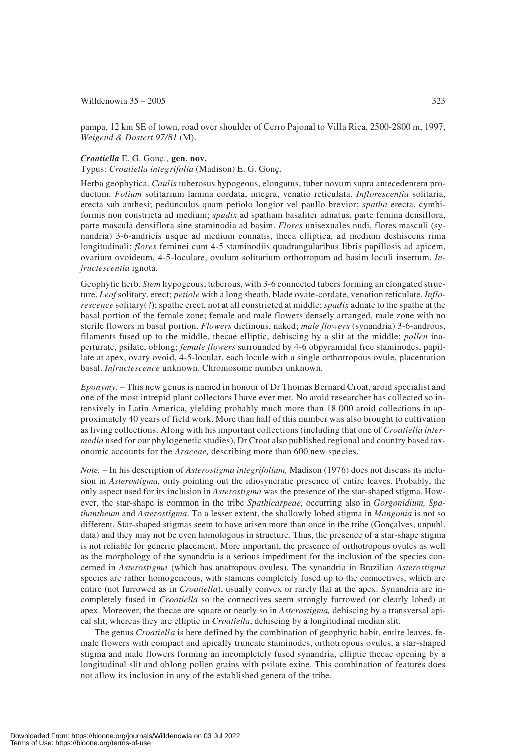## Willdenowia  $35 - 2005$  323

pampa, 12 km SE of town, road over shoulder of Cerro Pajonal to Villa Rica, 2500-2800 m, 1997, *Weigend & Dostert 97/81* (M).

### *Croatiella* E. G. Gonç., **gen. nov.**

Typus: *Croatiella integrifolia* (Madison) E. G. Gonç.

Herba geophytica. *Caulis* tuberosus hypogeous, elongatus, tuber novum supra antecedentem productum. *Folium* solitarium lamina cordata, integra, venatio reticulata. *Inflorescentia* solitaria, erecta sub anthesi; pedunculus quam petiolo longior vel paullo brevior; *spatha* erecta, cymbiformis non constricta ad medium; *spadix* ad spatham basaliter adnatus, parte femina densiflora, parte mascula densiflora sine staminodia ad basim. *Flores* unisexuales nudi, flores masculi (synandria) 3-6-andricis usque ad medium connatis, theca elliptica, ad medium deshiscens rima longitudinali; *flores* feminei cum 4-5 staminodiis quadrangularibus libris papillosis ad apicem, ovarium ovoideum, 4-5-loculare, ovulum solitarium orthotropum ad basim loculi insertum. *Infructescentia* ignota.

Geophytic herb. *Stem* hypogeous, tuberous, with 3-6 connected tubers forming an elongated structure. *Leaf* solitary, erect; *petiole* with a long sheath, blade ovate-cordate, venation reticulate. *Inflorescence* solitary(?); spathe erect, not at all constricted at middle; *spadix* adnate to the spathe at the basal portion of the female zone; female and male flowers densely arranged, male zone with no sterile flowers in basal portion. *Flowers* diclinous, naked; *male flowers* (synandria) 3-6-androus, filaments fused up to the middle, thecae elliptic, dehiscing by a slit at the middle; *pollen* inaperturate, psilate, oblong; *female flowers* surrounded by 4-6 obpyramidal free staminodes, papillate at apex, ovary ovoid, 4-5-locular, each locule with a single orthotropous ovule, placentation basal. *Infructescence* unknown. Chromosome number unknown.

*Eponymy.* – This new genus is named in honour of Dr Thomas Bernard Croat, aroid specialist and one of the most intrepid plant collectors I have ever met. No aroid researcher has collected so intensively in Latin America, yielding probably much more than 18 000 aroid collections in approximately 40 years of field work. More than half of this number was also brought to cultivation as living collections. Along with his important collections (including that one of *Croatiella intermedia* used for our phylogenetic studies), Dr Croat also published regional and country based taxonomic accounts for the *Araceae,* describing more than 600 new species.

*Note.* – In his description of *Asterostigma integrifolium,* Madison (1976) does not discuss its inclusion in *Asterostigma,* only pointing out the idiosyncratic presence of entire leaves. Probably, the only aspect used for its inclusion in *Asterostigma* was the presence of the star-shaped stigma. However, the star-shape is common in the tribe *Spathicarpeae,* occurring also in *Gorgonidium, Spathantheum* and *Asterostigma*. To a lesser extent, the shallowly lobed stigma in *Mangonia* is not so different. Star-shaped stigmas seem to have arisen more than once in the tribe (Gonçalves, unpubl. data) and they may not be even homologous in structure. Thus, the presence of a star-shape stigma is not reliable for generic placement. More important, the presence of orthotropous ovules as well as the morphology of the synandria is a serious impediment for the inclusion of the species concerned in *Asterostigma* (which has anatropous ovules). The synandria in Brazilian *Asterostigma* species are rather homogeneous, with stamens completely fused up to the connectives, which are entire (not furrowed as in *Croatiella*), usually convex or rarely flat at the apex. Synandria are incompletely fused in *Croatiella* so the connectives seem strongly furrowed (or clearly lobed) at apex. Moreover, the thecae are square or nearly so in *Asterostigma,* dehiscing by a transversal apical slit, whereas they are elliptic in *Croatiella*, dehiscing by a longitudinal median slit.

The genus *Croatiella* is here defined by the combination of geophytic habit, entire leaves, female flowers with compact and apically truncate staminodes, orthotropous ovules, a star-shaped stigma and male flowers forming an incompletely fused synandria, elliptic thecae opening by a longitudinal slit and oblong pollen grains with psilate exine. This combination of features does not allow its inclusion in any of the established genera of the tribe.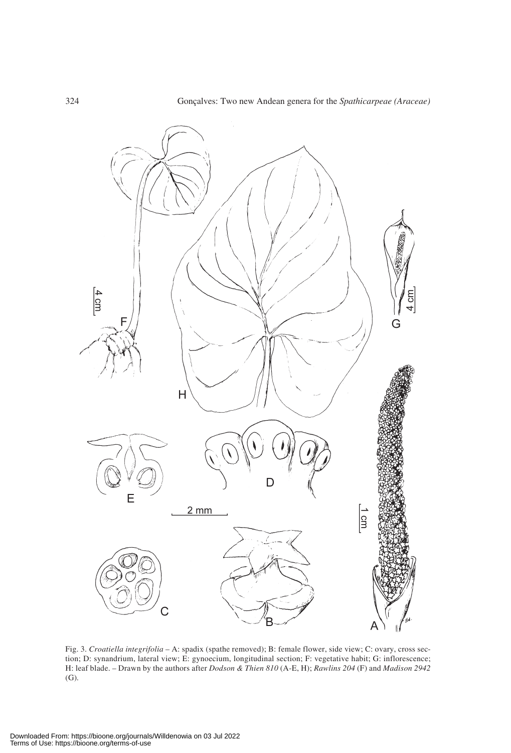

Fig. 3. *Croatiella integrifolia* – A: spadix (spathe removed); B: female flower, side view; C: ovary, cross section; D: synandrium, lateral view; E: gynoecium, longitudinal section; F: vegetative habit; G: inflorescence; H: leaf blade. – Drawn by the authors after *Dodson & Thien 810* (A-E, H); *Rawlins 204* (F) and *Madison 2942* (G)*.*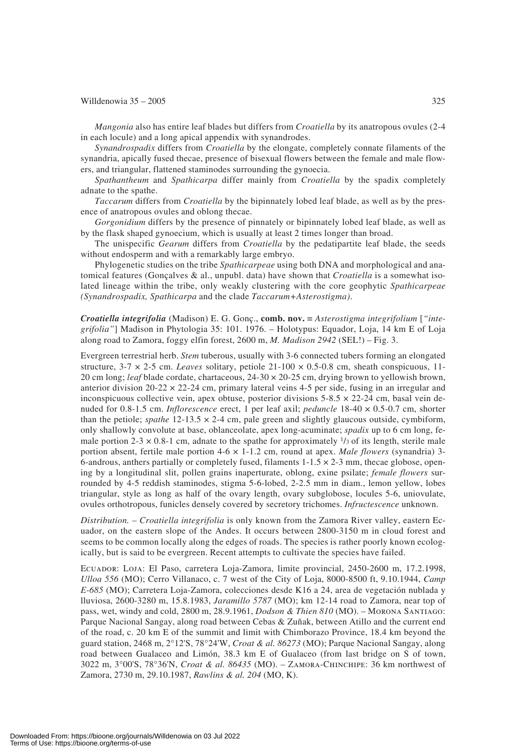#### Willdenowia  $35 - 2005$  325

*Mangonia* also has entire leaf blades but differs from *Croatiella* by its anatropous ovules (2-4 in each locule) and a long apical appendix with synandrodes.

*Synandrospadix* differs from *Croatiella* by the elongate, completely connate filaments of the synandria, apically fused thecae, presence of bisexual flowers between the female and male flowers, and triangular, flattened staminodes surrounding the gynoecia.

*Spathantheum* and *Spathicarpa* differ mainly from *Croatiella* by the spadix completely adnate to the spathe.

*Taccarum* differs from *Croatiella* by the bipinnately lobed leaf blade, as well as by the presence of anatropous ovules and oblong thecae.

*Gorgonidium* differs by the presence of pinnately or bipinnately lobed leaf blade, as well as by the flask shaped gynoecium, which is usually at least 2 times longer than broad.

The unispecific *Gearum* differs from *Croatiella* by the pedatipartite leaf blade, the seeds without endosperm and with a remarkably large embryo.

Phylogenetic studies on the tribe *Spathicarpeae* using both DNA and morphological and anatomical features (Gonçalves & al., unpubl. data) have shown that *Croatiella* is a somewhat isolated lineage within the tribe, only weakly clustering with the core geophytic *Spathicarpeae (Synandrospadix, Spathicarpa* and the clade *Taccarum+Asterostigma)*.

*Croatiella integrifolia* (Madison) E. G. Gonç., **comb. nov.** ≡ *Asterostigma integrifolium* [*"integrifolia"*] Madison in Phytologia 35: 101. 1976. – Holotypus: Equador, Loja, 14 km E of Loja along road to Zamora, foggy elfin forest, 2600 m, *M. Madison 2942* (SEL!) – Fig. 3.

Evergreen terrestrial herb. *Stem* tuberous, usually with 3-6 connected tubers forming an elongated structure, 3-7 × 2-5 cm. *Leaves* solitary, petiole 21-100 × 0.5-0.8 cm, sheath conspicuous, 11- 20 cm long; *leaf* blade cordate, chartaceous, 24-30 × 20-25 cm, drying brown to yellowish brown, anterior division  $20-22 \times 22-24$  cm, primary lateral veins 4-5 per side, fusing in an irregular and inconspicuous collective vein, apex obtuse, posterior divisions  $5-8.5 \times 22-24$  cm, basal vein denuded for 0.8-1.5 cm. *Inflorescence* erect, 1 per leaf axil; *peduncle* 18-40 × 0.5-0.7 cm, shorter than the petiole; *spathe*  $12-13.5 \times 2-4$  cm, pale green and slightly glaucous outside, cymbiform, only shallowly convolute at base, oblanceolate, apex long-acuminate; *spadix* up to 6 cm long, female portion 2-3  $\times$  0.8-1 cm, adnate to the spathe for approximately  $\frac{1}{3}$  of its length, sterile male portion absent, fertile male portion 4-6 × 1-1.2 cm, round at apex. *Male flowers* (synandria) 3- 6-androus, anthers partially or completely fused, filaments  $1-1.5 \times 2-3$  mm, thecae globose, opening by a longitudinal slit, pollen grains inaperturate, oblong, exine psilate; *female flowers* surrounded by 4-5 reddish staminodes, stigma 5-6-lobed, 2-2.5 mm in diam., lemon yellow, lobes triangular, style as long as half of the ovary length, ovary subglobose, locules 5-6, uniovulate, ovules orthotropous, funicles densely covered by secretory trichomes. *Infructescence* unknown.

*Distribution.* – *Croatiella integrifolia* is only known from the Zamora River valley, eastern Ecuador, on the eastern slope of the Andes. It occurs between 2800-3150 m in cloud forest and seems to be common locally along the edges of roads. The species is rather poorly known ecologically, but is said to be evergreen. Recent attempts to cultivate the species have failed.

Ecuador: Loja: El Paso, carretera Loja-Zamora, limite provincial, 2450-2600 m, 17.2.1998, *Ulloa 556* (MO); Cerro Villanaco, c. 7 west of the City of Loja, 8000-8500 ft, 9.10.1944, *Camp E-685* (MO); Carretera Loja-Zamora, colecciones desde K16 a 24, area de vegetación nublada y lluviosa, 2600-3280 m, 15.8.1983, *Jaramillo 5787* (MO); km 12-14 road to Zamora, near top of pass, wet, windy and cold, 2800 m, 28.9.1961, *Dodson & Thien 810* (MO). – Morona Santiago: Parque Nacional Sangay, along road between Cebas & Zuñak, between Atillo and the current end of the road, c. 20 km E of the summit and limit with Chimborazo Province, 18.4 km beyond the guard station, 2468 m, 2°12'S, 78°24'W, *Croat & al. 86273* (MO); Parque Nacional Sangay, along road between Gualaceo and Limón, 38.3 km E of Gualaceo (from last bridge on S of town, 3022 m, 3°00'S, 78°36'N, *Croat & al. 86435* (MO). – Zamora-Chinchipe: 36 km northwest of Zamora, 2730 m, 29.10.1987, *Rawlins & al. 204* (MO, K).